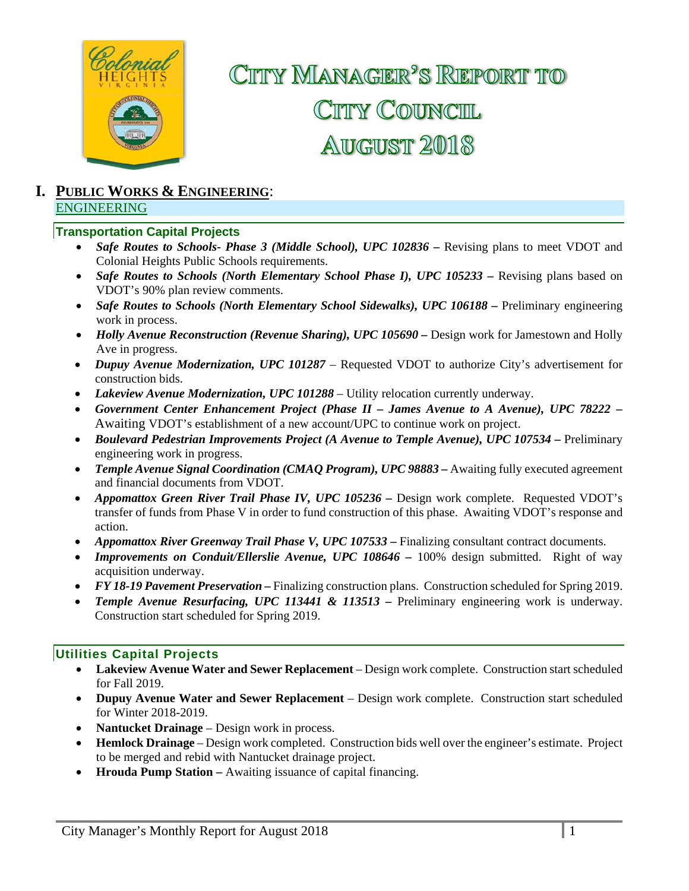

# CITTY MANAGER<sup>2</sup>S REPORT TO CITY COUNCIL **AUGUST 2018**

#### **I. PUBLIC WORKS & ENGINEERING**: ENGINEERING

#### **Transportation Capital Projects**

- **Safe Routes to Schools- Phase 3 (Middle School), UPC 102836 Revising plans to meet VDOT and** Colonial Heights Public Schools requirements.
- Safe Routes to Schools (North Elementary School Phase I), UPC 105233 Revising plans based on VDOT's 90% plan review comments.
- *Safe Routes to Schools (North Elementary School Sidewalks), UPC 106188 –* Preliminary engineering work in process.
- *Holly Avenue Reconstruction (Revenue Sharing), UPC 105690 Design work for Jamestown and Holly* Ave in progress.
- *Dupuy Avenue Modernization, UPC 101287*  Requested VDOT to authorize City's advertisement for construction bids.
- *Lakeview Avenue Modernization, UPC 101288* Utility relocation currently underway.
- *Government Center Enhancement Project (Phase II James Avenue to A Avenue), UPC 78222 –* Awaiting VDOT's establishment of a new account/UPC to continue work on project.
- *Boulevard Pedestrian Improvements Project (A Avenue to Temple Avenue), UPC 107534 Preliminary* engineering work in progress.
- Temple Avenue Signal Coordination (CMAO Program), UPC 98883 Awaiting fully executed agreement and financial documents from VDOT.
- *Appomattox Green River Trail Phase IV, UPC 105236 Design work complete. Requested VDOT's* transfer of funds from Phase V in order to fund construction of this phase. Awaiting VDOT's response and action.
- Appomattox River Greenway Trail Phase V, UPC 107533 Finalizing consultant contract documents.
- Improvements on Conduit/Ellerslie Avenue, UPC 108646 100% design submitted. Right of way acquisition underway.
- *FY 18-19 Pavement Preservation* Finalizing construction plans. Construction scheduled for Spring 2019.
- *Temple Avenue Resurfacing, UPC 113441 & 113513 –* Preliminary engineering work is underway. Construction start scheduled for Spring 2019.

#### **Utilities Capital Projects**

- **Lakeview Avenue Water and Sewer Replacement**  Design work complete. Construction start scheduled for Fall 2019.
- **Dupuy Avenue Water and Sewer Replacement** Design work complete. Construction start scheduled for Winter 2018-2019.
- **Nantucket Drainage** Design work in process.
- **Hemlock Drainage**  Design work completed. Construction bids well over the engineer's estimate. Project to be merged and rebid with Nantucket drainage project.
- **Hrouda Pump Station –** Awaiting issuance of capital financing.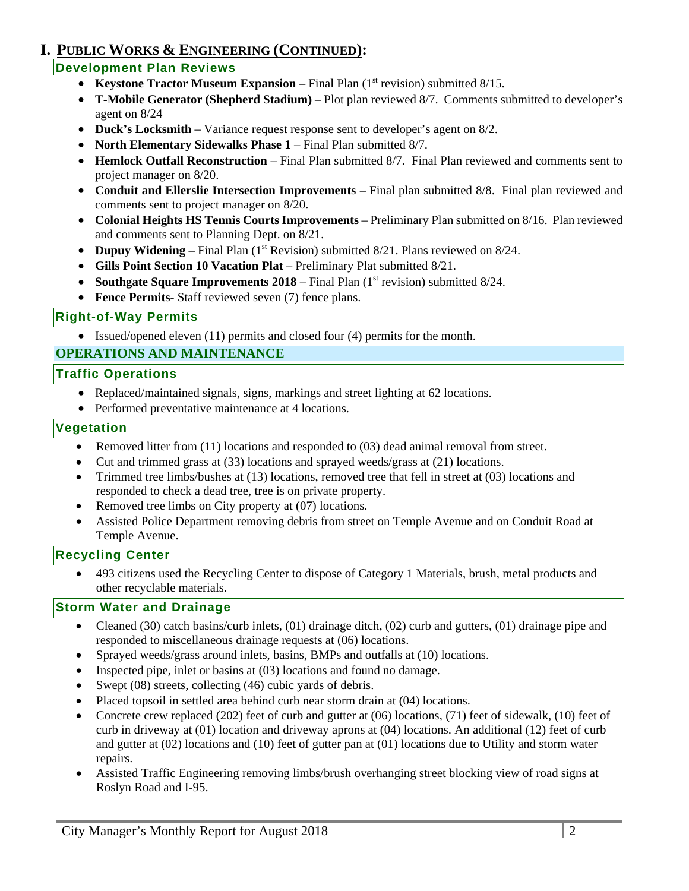### **I. PUBLIC WORKS & ENGINEERING (CONTINUED):**

### **Development Plan Reviews**

- **Keystone Tractor Museum Expansion** Final Plan (1<sup>st</sup> revision) submitted 8/15.
- **T-Mobile Generator (Shepherd Stadium)**  Plot plan reviewed 8/7. Comments submitted to developer's agent on 8/24
- **Duck's Locksmith**  Variance request response sent to developer's agent on 8/2.
- **North Elementary Sidewalks Phase 1 Final Plan submitted 8/7.**
- **Hemlock Outfall Reconstruction**  Final Plan submitted 8/7. Final Plan reviewed and comments sent to project manager on 8/20.
- **Conduit and Ellerslie Intersection Improvements** Final plan submitted 8/8. Final plan reviewed and comments sent to project manager on 8/20.
- **Colonial Heights HS Tennis Courts Improvements**  Preliminary Plan submitted on 8/16. Plan reviewed and comments sent to Planning Dept. on 8/21.
- Dupuy Widening Final Plan (1<sup>st</sup> Revision) submitted 8/21. Plans reviewed on 8/24.
- **Gills Point Section 10 Vacation Plat**  Preliminary Plat submitted 8/21.
- **Southgate Square Improvements 2018** Final Plan (1<sup>st</sup> revision) submitted 8/24.
- **Fence Permits** Staff reviewed seven (7) fence plans.

#### **Right-of-Way Permits**

Issued/opened eleven (11) permits and closed four (4) permits for the month.

#### **OPERATIONS AND MAINTENANCE**

#### **Traffic Operations**

- Replaced/maintained signals, signs, markings and street lighting at 62 locations.
- Performed preventative maintenance at 4 locations.

#### **Vegetation**

- Removed litter from (11) locations and responded to (03) dead animal removal from street.
- Cut and trimmed grass at (33) locations and sprayed weeds/grass at (21) locations.
- Trimmed tree limbs/bushes at (13) locations, removed tree that fell in street at (03) locations and responded to check a dead tree, tree is on private property.
- Removed tree limbs on City property at (07) locations.
- Assisted Police Department removing debris from street on Temple Avenue and on Conduit Road at Temple Avenue.

#### **Recycling Center**

 493 citizens used the Recycling Center to dispose of Category 1 Materials, brush, metal products and other recyclable materials.

#### **Storm Water and Drainage**

- Cleaned (30) catch basins/curb inlets, (01) drainage ditch, (02) curb and gutters, (01) drainage pipe and responded to miscellaneous drainage requests at (06) locations.
- Sprayed weeds/grass around inlets, basins, BMPs and outfalls at (10) locations.
- Inspected pipe, inlet or basins at (03) locations and found no damage.
- Swept (08) streets, collecting (46) cubic yards of debris.
- Placed topsoil in settled area behind curb near storm drain at (04) locations.
- Concrete crew replaced (202) feet of curb and gutter at  $(06)$  locations, (71) feet of sidewalk, (10) feet of curb in driveway at (01) location and driveway aprons at (04) locations. An additional (12) feet of curb and gutter at (02) locations and (10) feet of gutter pan at (01) locations due to Utility and storm water repairs.
- Assisted Traffic Engineering removing limbs/brush overhanging street blocking view of road signs at Roslyn Road and I-95.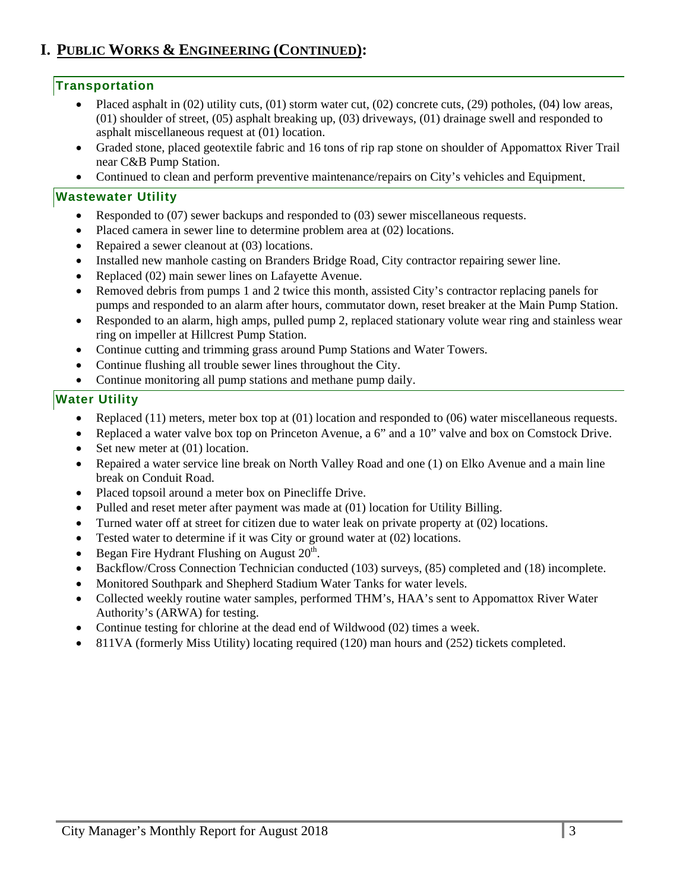### **I. PUBLIC WORKS & ENGINEERING (CONTINUED):**

#### **Transportation**

- Placed asphalt in (02) utility cuts, (01) storm water cut, (02) concrete cuts, (29) potholes, (04) low areas, (01) shoulder of street, (05) asphalt breaking up, (03) driveways, (01) drainage swell and responded to asphalt miscellaneous request at (01) location.
- Graded stone, placed geotextile fabric and 16 tons of rip rap stone on shoulder of Appomattox River Trail near C&B Pump Station.
- Continued to clean and perform preventive maintenance/repairs on City's vehicles and Equipment.

#### **Wastewater Utility**

- Responded to (07) sewer backups and responded to (03) sewer miscellaneous requests.
- Placed camera in sewer line to determine problem area at (02) locations.
- Repaired a sewer cleanout at (03) locations.
- Installed new manhole casting on Branders Bridge Road, City contractor repairing sewer line.
- Replaced (02) main sewer lines on Lafayette Avenue.
- Removed debris from pumps 1 and 2 twice this month, assisted City's contractor replacing panels for pumps and responded to an alarm after hours, commutator down, reset breaker at the Main Pump Station.
- Responded to an alarm, high amps, pulled pump 2, replaced stationary volute wear ring and stainless wear ring on impeller at Hillcrest Pump Station.
- Continue cutting and trimming grass around Pump Stations and Water Towers.
- Continue flushing all trouble sewer lines throughout the City.
- Continue monitoring all pump stations and methane pump daily.

#### **Water Utility**

- Exercise Replaced (11) meters, meter box top at  $(01)$  location and responded to  $(06)$  water miscellaneous requests.
- Replaced a water valve box top on Princeton Avenue, a 6" and a 10" valve and box on Comstock Drive.
- Set new meter at (01) location.
- Repaired a water service line break on North Valley Road and one (1) on Elko Avenue and a main line break on Conduit Road.
- Placed topsoil around a meter box on Pinecliffe Drive.
- Pulled and reset meter after payment was made at (01) location for Utility Billing.
- Turned water off at street for citizen due to water leak on private property at (02) locations.
- Tested water to determine if it was City or ground water at (02) locations.
- Began Fire Hydrant Flushing on August  $20<sup>th</sup>$ .
- Backflow/Cross Connection Technician conducted (103) surveys, (85) completed and (18) incomplete.
- Monitored Southpark and Shepherd Stadium Water Tanks for water levels.
- Collected weekly routine water samples, performed THM's, HAA's sent to Appomattox River Water Authority's (ARWA) for testing.
- Continue testing for chlorine at the dead end of Wildwood (02) times a week.
- 811VA (formerly Miss Utility) locating required (120) man hours and (252) tickets completed.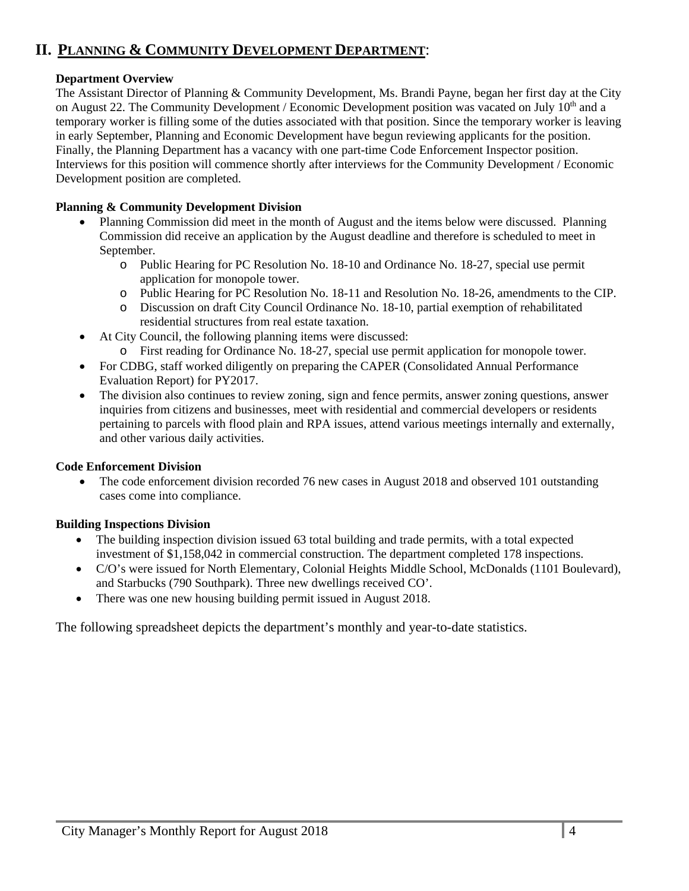### **II. PLANNING & COMMUNITY DEVELOPMENT DEPARTMENT**:

#### **Department Overview**

The Assistant Director of Planning & Community Development, Ms. Brandi Payne, began her first day at the City on August 22. The Community Development / Economic Development position was vacated on July  $10<sup>th</sup>$  and a temporary worker is filling some of the duties associated with that position. Since the temporary worker is leaving in early September, Planning and Economic Development have begun reviewing applicants for the position. Finally, the Planning Department has a vacancy with one part-time Code Enforcement Inspector position. Interviews for this position will commence shortly after interviews for the Community Development / Economic Development position are completed.

#### **Planning & Community Development Division**

- Planning Commission did meet in the month of August and the items below were discussed. Planning Commission did receive an application by the August deadline and therefore is scheduled to meet in September.
	- o Public Hearing for PC Resolution No. 18-10 and Ordinance No. 18-27, special use permit application for monopole tower.
	- o Public Hearing for PC Resolution No. 18-11 and Resolution No. 18-26, amendments to the CIP.
	- o Discussion on draft City Council Ordinance No. 18-10, partial exemption of rehabilitated residential structures from real estate taxation.
- At City Council, the following planning items were discussed:
	- o First reading for Ordinance No. 18-27, special use permit application for monopole tower.
- For CDBG, staff worked diligently on preparing the CAPER (Consolidated Annual Performance Evaluation Report) for PY2017.
- The division also continues to review zoning, sign and fence permits, answer zoning questions, answer inquiries from citizens and businesses, meet with residential and commercial developers or residents pertaining to parcels with flood plain and RPA issues, attend various meetings internally and externally, and other various daily activities.

#### **Code Enforcement Division**

• The code enforcement division recorded 76 new cases in August 2018 and observed 101 outstanding cases come into compliance.

#### **Building Inspections Division**

- The building inspection division issued 63 total building and trade permits, with a total expected investment of \$1,158,042 in commercial construction. The department completed 178 inspections.
- C/O's were issued for North Elementary, Colonial Heights Middle School, McDonalds (1101 Boulevard), and Starbucks (790 Southpark). Three new dwellings received CO'.
- There was one new housing building permit issued in August 2018.

The following spreadsheet depicts the department's monthly and year-to-date statistics.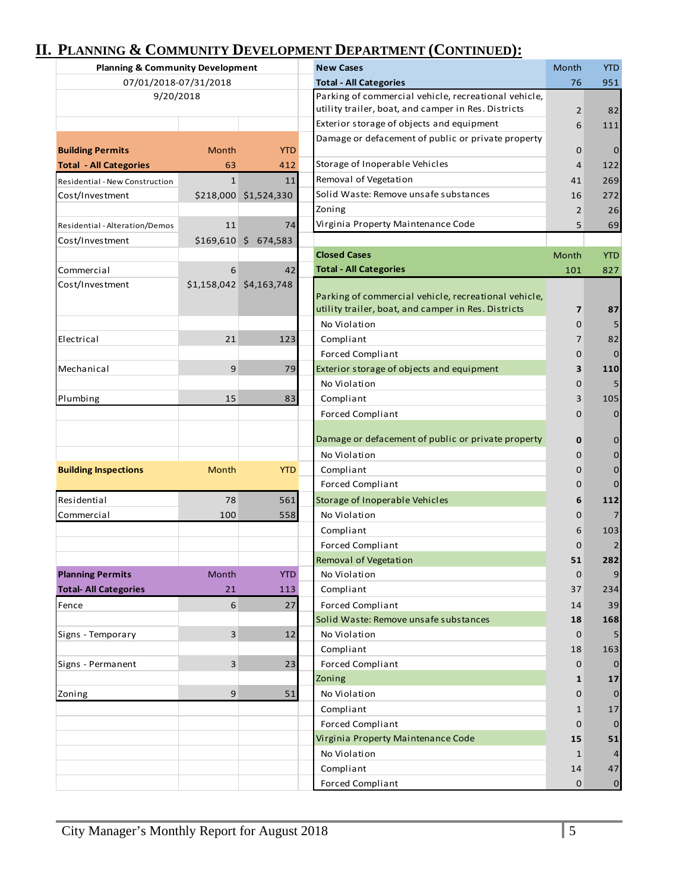# **II. PLANNING & COMMUNITY DEVELOPMENT DEPARTMENT (CONTINUED):**

| <b>Planning &amp; Community Development</b> |                |                          | <b>New Cases</b>                                     | Month          | <b>YTD</b>     |
|---------------------------------------------|----------------|--------------------------|------------------------------------------------------|----------------|----------------|
| 07/01/2018-07/31/2018                       |                |                          | <b>Total - All Categories</b>                        | 76             | 951            |
| 9/20/2018                                   |                |                          | Parking of commercial vehicle, recreational vehicle, |                |                |
|                                             |                |                          | utility trailer, boat, and camper in Res. Districts  | 2              | 82             |
|                                             |                |                          | Exterior storage of objects and equipment            | 6              | 111            |
| <b>Building Permits</b>                     | Month          | <b>YTD</b>               | Damage or defacement of public or private property   | 0              | $\mathbf 0$    |
| <b>Total - All Categories</b>               | 63             | 412                      | Storage of Inoperable Vehicles                       | $\overline{4}$ | 122            |
| Residential - New Construction              | $\mathbf{1}$   | 11                       | Removal of Vegetation                                | 41             | 269            |
| Cost/Investment                             |                | \$218,000 \$1,524,330    | Solid Waste: Remove unsafe substances                | 16             | 272            |
|                                             |                |                          | Zoning                                               | 2              | 26             |
| Residential - Alteration/Demos              | 11             | 74                       | Virginia Property Maintenance Code                   | 5              | 69             |
| Cost/Investment                             | \$169,610      | $\frac{1}{2}$<br>674,583 |                                                      |                |                |
|                                             |                |                          | <b>Closed Cases</b>                                  | Month          | <b>YTD</b>     |
| Commercial                                  | 6              | 42                       | <b>Total - All Categories</b>                        | 101            | 827            |
| Cost/Investment                             |                | \$1,158,042 \$4,163,748  |                                                      |                |                |
|                                             |                |                          | Parking of commercial vehicle, recreational vehicle, |                |                |
|                                             |                |                          | utility trailer, boat, and camper in Res. Districts  | 7              | 87             |
|                                             |                |                          | No Violation                                         | 0              |                |
| Electrical                                  | 21             | 123                      | Compliant                                            | $\overline{7}$ | 82             |
|                                             |                |                          | <b>Forced Compliant</b>                              | 0              | $\mathbf{0}$   |
| Mechanical                                  | 9              | 79                       | Exterior storage of objects and equipment            | 3              | 110            |
|                                             |                |                          | No Violation                                         | 0              | 5              |
| Plumbing                                    | 15             | 83                       | Compliant                                            | 3              | 105            |
|                                             |                |                          | <b>Forced Compliant</b>                              | $\Omega$       | $\overline{0}$ |
|                                             |                |                          |                                                      |                |                |
|                                             |                |                          | Damage or defacement of public or private property   | 0              | $\mathbf 0$    |
|                                             |                |                          | No Violation                                         | 0              | $\overline{0}$ |
| <b>Building Inspections</b>                 | Month          | <b>YTD</b>               | Compliant                                            | 0              | $\overline{0}$ |
|                                             |                |                          | <b>Forced Compliant</b>                              | 0              | $\Omega$       |
| Residential                                 | 78             | 561                      | Storage of Inoperable Vehicles                       | 6              | 112            |
| Commercial                                  | 100            | 558                      | No Violation                                         | 0              |                |
|                                             |                |                          | Compliant                                            | 6              | 103            |
|                                             |                |                          | <b>Forced Compliant</b>                              | O              | 2              |
|                                             |                |                          | Removal of Vegetation                                | 51             | 282            |
| <b>Planning Permits</b>                     | Month          | <b>YTD</b>               | No Violation                                         | $\mathbf 0$    | 9              |
| <b>Total- All Categories</b>                | 21             | 113                      | Compliant                                            | 37             | 234            |
| Fence                                       | 6              | 27                       | <b>Forced Compliant</b>                              | 14             | 39             |
|                                             |                |                          | Solid Waste: Remove unsafe substances                | 18             | 168            |
| Signs - Temporary                           | $\overline{3}$ | 12                       | No Violation                                         | $\mathbf 0$    | 5              |
|                                             |                |                          | Compliant                                            | 18             | 163            |
| Signs - Permanent                           | $\overline{3}$ | 23                       | <b>Forced Compliant</b>                              | 0              | $\Omega$       |
|                                             |                |                          | Zoning                                               | 1              | 17             |
| Zoning                                      | 9              | 51                       | No Violation                                         | 0              | $\Omega$       |
|                                             |                | Compliant                | 1                                                    | 17             |                |
|                                             |                | <b>Forced Compliant</b>  | $\mathbf 0$                                          | $\Omega$       |                |
|                                             |                |                          | Virginia Property Maintenance Code                   | 15             | 51             |
|                                             |                |                          | No Violation                                         | 1              |                |
|                                             |                |                          | Compliant                                            | 14             | 47             |
|                                             |                |                          | <b>Forced Compliant</b>                              | $\mathbf 0$    | $\mathbf{0}$   |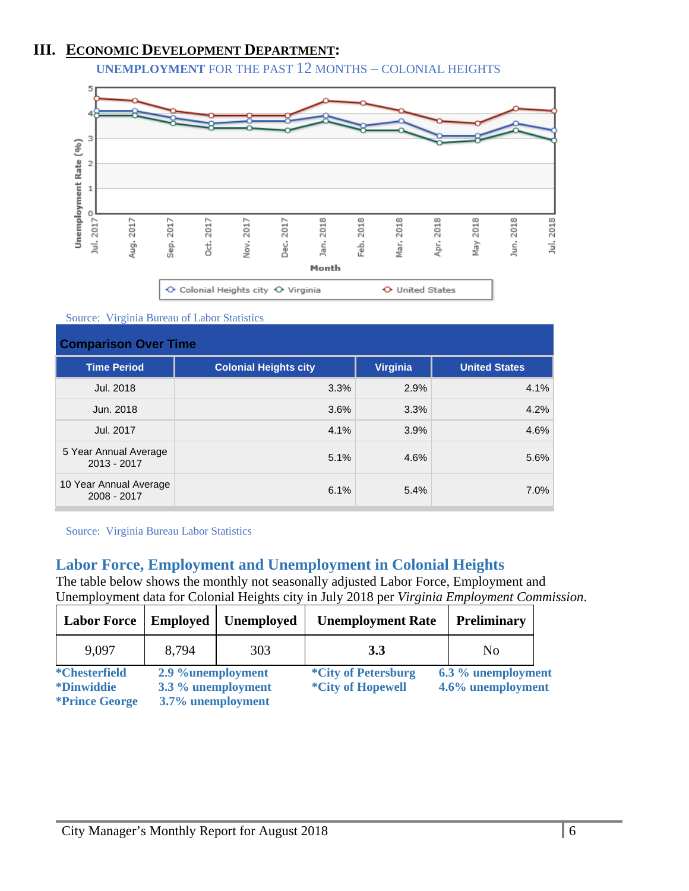### **III. ECONOMIC DEVELOPMENT DEPARTMENT:**

**UNEMPLOYMENT** FOR THE PAST 12 MONTHS – COLONIAL HEIGHTS



Source: Virginia Bureau of Labor Statistics

| <b>Comparison Over Time</b>           |                              |                 |                      |  |
|---------------------------------------|------------------------------|-----------------|----------------------|--|
| <b>Time Period</b>                    | <b>Colonial Heights city</b> | <b>Virginia</b> | <b>United States</b> |  |
| Jul. 2018                             | 3.3%                         | 2.9%            | 4.1%                 |  |
| Jun. 2018                             | 3.6%                         | 3.3%            | 4.2%                 |  |
| Jul. 2017                             | 4.1%                         | 3.9%            | 4.6%                 |  |
| 5 Year Annual Average<br>2013 - 2017  | 5.1%                         | 4.6%            | 5.6%                 |  |
| 10 Year Annual Average<br>2008 - 2017 | 6.1%                         | 5.4%            | 7.0%                 |  |

Source: Virginia Bureau Labor Statistics

### **Labor Force, Employment and Unemployment in Colonial Heights**

The table below shows the monthly not seasonally adjusted Labor Force, Employment and Unemployment data for Colonial Heights city in July 2018 per *Virginia Employment Commission*.

| <b>Labor Force</b>                                                        | <b>Employed</b>                                              | <b>Unemployed</b> | <b>Unemployment Rate</b>                               | <b>Preliminary</b>                      |
|---------------------------------------------------------------------------|--------------------------------------------------------------|-------------------|--------------------------------------------------------|-----------------------------------------|
| 9.097                                                                     | 8.794                                                        | 303               | <b>3.3</b>                                             | No                                      |
| <i>*Chesterfield</i><br><i>*Dinwiddie</i><br><i><b>*Prince George</b></i> | 2.9 %unemployment<br>3.3 % unemployment<br>3.7% unemployment |                   | <i>*City of Petersburg</i><br><i>*City of Hopewell</i> | 6.3 % unemployment<br>4.6% unemployment |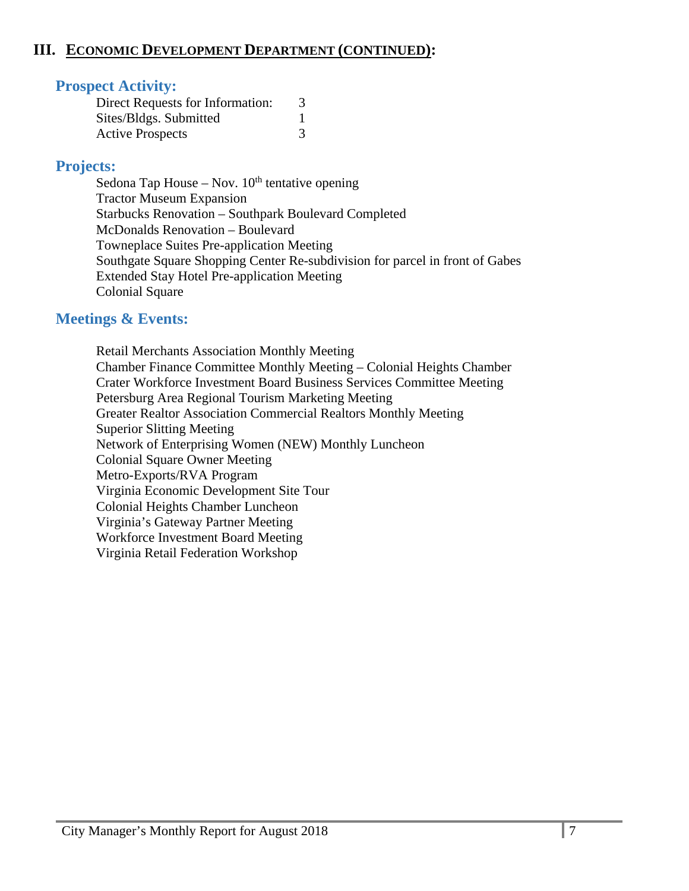### **III. ECONOMIC DEVELOPMENT DEPARTMENT (CONTINUED):**

### **Prospect Activity:**

| Direct Requests for Information: |  |
|----------------------------------|--|
| Sites/Bldgs. Submitted           |  |
| <b>Active Prospects</b>          |  |

### **Projects:**

Sedona Tap House – Nov.  $10<sup>th</sup>$  tentative opening Tractor Museum Expansion Starbucks Renovation – Southpark Boulevard Completed McDonalds Renovation – Boulevard Towneplace Suites Pre-application Meeting Southgate Square Shopping Center Re-subdivision for parcel in front of Gabes Extended Stay Hotel Pre-application Meeting Colonial Square

### **Meetings & Events:**

 Retail Merchants Association Monthly Meeting Chamber Finance Committee Monthly Meeting – Colonial Heights Chamber Crater Workforce Investment Board Business Services Committee Meeting Petersburg Area Regional Tourism Marketing Meeting Greater Realtor Association Commercial Realtors Monthly Meeting Superior Slitting Meeting Network of Enterprising Women (NEW) Monthly Luncheon Colonial Square Owner Meeting Metro-Exports/RVA Program Virginia Economic Development Site Tour Colonial Heights Chamber Luncheon Virginia's Gateway Partner Meeting Workforce Investment Board Meeting Virginia Retail Federation Workshop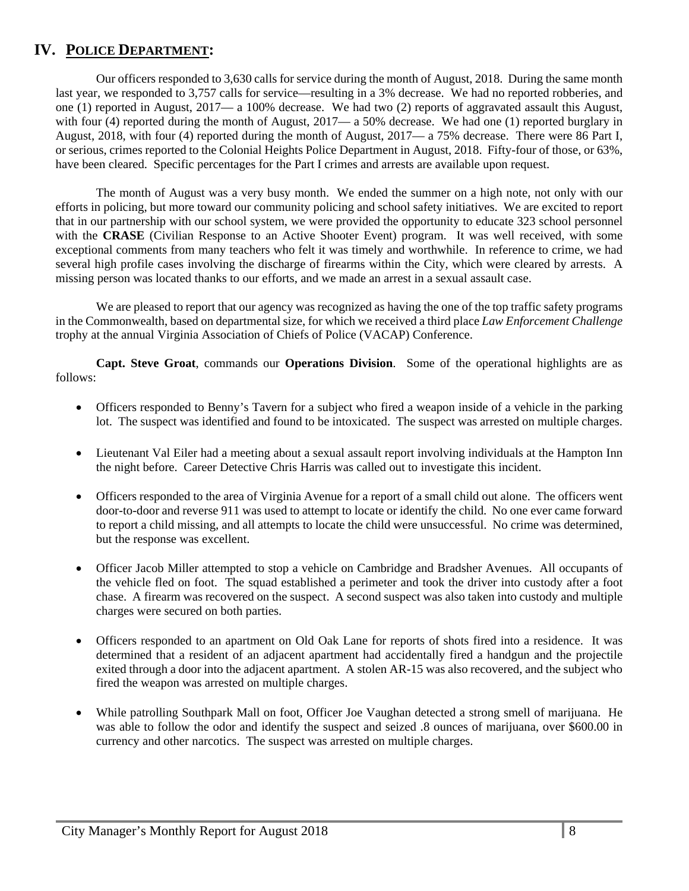### **IV. POLICE DEPARTMENT:**

 Our officers responded to 3,630 calls for service during the month of August, 2018. During the same month last year, we responded to 3,757 calls for service—resulting in a 3% decrease. We had no reported robberies, and one (1) reported in August, 2017— a 100% decrease. We had two (2) reports of aggravated assault this August, with four (4) reported during the month of August,  $2017 - a 50\%$  decrease. We had one (1) reported burglary in August, 2018, with four (4) reported during the month of August, 2017— a 75% decrease. There were 86 Part I, or serious, crimes reported to the Colonial Heights Police Department in August, 2018. Fifty-four of those, or 63%, have been cleared. Specific percentages for the Part I crimes and arrests are available upon request.

The month of August was a very busy month. We ended the summer on a high note, not only with our efforts in policing, but more toward our community policing and school safety initiatives. We are excited to report that in our partnership with our school system, we were provided the opportunity to educate 323 school personnel with the **CRASE** (Civilian Response to an Active Shooter Event) program. It was well received, with some exceptional comments from many teachers who felt it was timely and worthwhile. In reference to crime, we had several high profile cases involving the discharge of firearms within the City, which were cleared by arrests. A missing person was located thanks to our efforts, and we made an arrest in a sexual assault case.

We are pleased to report that our agency was recognized as having the one of the top traffic safety programs in the Commonwealth, based on departmental size, for which we received a third place *Law Enforcement Challenge* trophy at the annual Virginia Association of Chiefs of Police (VACAP) Conference.

**Capt. Steve Groat**, commands our **Operations Division**. Some of the operational highlights are as follows:

- Officers responded to Benny's Tavern for a subject who fired a weapon inside of a vehicle in the parking lot. The suspect was identified and found to be intoxicated. The suspect was arrested on multiple charges.
- Lieutenant Val Eiler had a meeting about a sexual assault report involving individuals at the Hampton Inn the night before. Career Detective Chris Harris was called out to investigate this incident.
- Officers responded to the area of Virginia Avenue for a report of a small child out alone. The officers went door-to-door and reverse 911 was used to attempt to locate or identify the child. No one ever came forward to report a child missing, and all attempts to locate the child were unsuccessful. No crime was determined, but the response was excellent.
- Officer Jacob Miller attempted to stop a vehicle on Cambridge and Bradsher Avenues. All occupants of the vehicle fled on foot. The squad established a perimeter and took the driver into custody after a foot chase. A firearm was recovered on the suspect. A second suspect was also taken into custody and multiple charges were secured on both parties.
- Officers responded to an apartment on Old Oak Lane for reports of shots fired into a residence. It was determined that a resident of an adjacent apartment had accidentally fired a handgun and the projectile exited through a door into the adjacent apartment. A stolen AR-15 was also recovered, and the subject who fired the weapon was arrested on multiple charges.
- While patrolling Southpark Mall on foot, Officer Joe Vaughan detected a strong smell of marijuana. He was able to follow the odor and identify the suspect and seized .8 ounces of marijuana, over \$600.00 in currency and other narcotics. The suspect was arrested on multiple charges.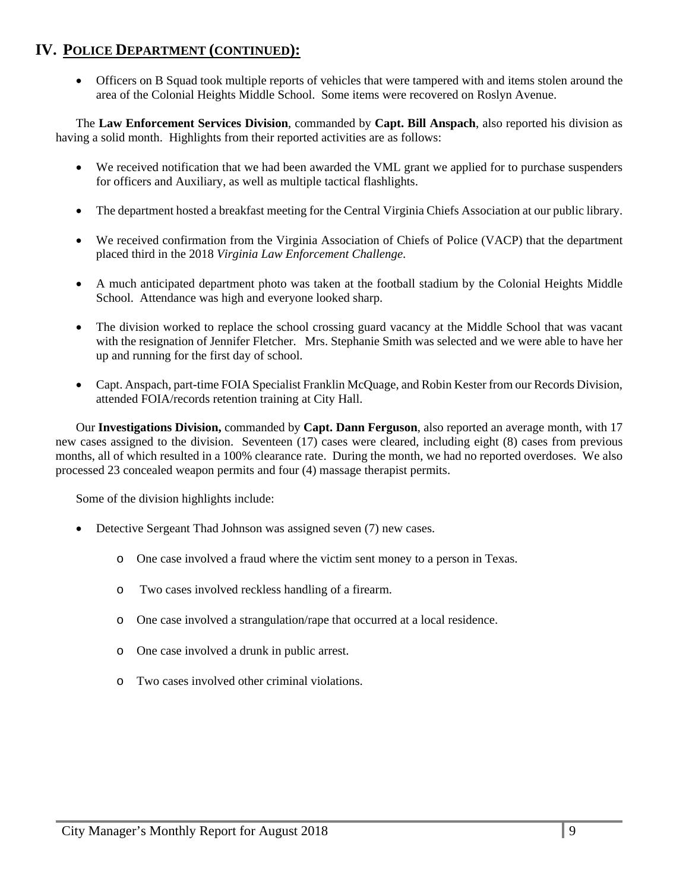Officers on B Squad took multiple reports of vehicles that were tampered with and items stolen around the area of the Colonial Heights Middle School. Some items were recovered on Roslyn Avenue.

The **Law Enforcement Services Division**, commanded by **Capt. Bill Anspach**, also reported his division as having a solid month. Highlights from their reported activities are as follows:

- We received notification that we had been awarded the VML grant we applied for to purchase suspenders for officers and Auxiliary, as well as multiple tactical flashlights.
- The department hosted a breakfast meeting for the Central Virginia Chiefs Association at our public library.
- We received confirmation from the Virginia Association of Chiefs of Police (VACP) that the department placed third in the 2018 *Virginia Law Enforcement Challenge*.
- A much anticipated department photo was taken at the football stadium by the Colonial Heights Middle School. Attendance was high and everyone looked sharp.
- The division worked to replace the school crossing guard vacancy at the Middle School that was vacant with the resignation of Jennifer Fletcher. Mrs. Stephanie Smith was selected and we were able to have her up and running for the first day of school.
- Capt. Anspach, part-time FOIA Specialist Franklin McQuage, and Robin Kester from our Records Division, attended FOIA/records retention training at City Hall.

Our **Investigations Division,** commanded by **Capt. Dann Ferguson**, also reported an average month, with 17 new cases assigned to the division. Seventeen (17) cases were cleared, including eight (8) cases from previous months, all of which resulted in a 100% clearance rate. During the month, we had no reported overdoses. We also processed 23 concealed weapon permits and four (4) massage therapist permits.

Some of the division highlights include:

- Detective Sergeant Thad Johnson was assigned seven (7) new cases.
	- o One case involved a fraud where the victim sent money to a person in Texas.
	- o Two cases involved reckless handling of a firearm.
	- o One case involved a strangulation/rape that occurred at a local residence.
	- o One case involved a drunk in public arrest.
	- o Two cases involved other criminal violations.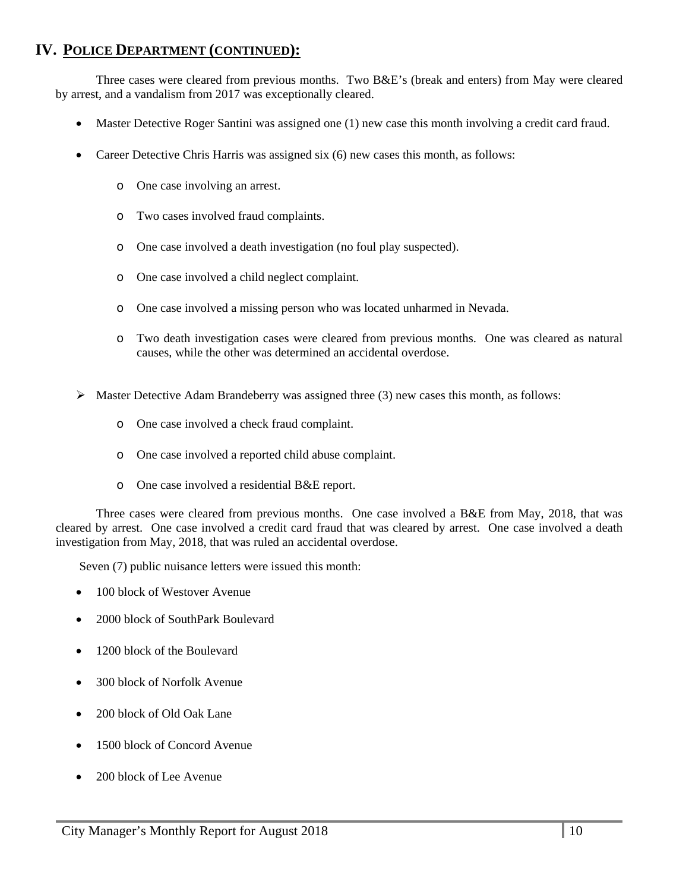Three cases were cleared from previous months. Two B&E's (break and enters) from May were cleared by arrest, and a vandalism from 2017 was exceptionally cleared.

- Master Detective Roger Santini was assigned one (1) new case this month involving a credit card fraud.
- Career Detective Chris Harris was assigned six (6) new cases this month, as follows:
	- o One case involving an arrest.
	- o Two cases involved fraud complaints.
	- o One case involved a death investigation (no foul play suspected).
	- o One case involved a child neglect complaint.
	- o One case involved a missing person who was located unharmed in Nevada.
	- o Two death investigation cases were cleared from previous months. One was cleared as natural causes, while the other was determined an accidental overdose.
- Master Detective Adam Brandeberry was assigned three (3) new cases this month, as follows:
	- o One case involved a check fraud complaint.
	- o One case involved a reported child abuse complaint.
	- o One case involved a residential B&E report.

Three cases were cleared from previous months. One case involved a B&E from May, 2018, that was cleared by arrest. One case involved a credit card fraud that was cleared by arrest. One case involved a death investigation from May, 2018, that was ruled an accidental overdose.

Seven (7) public nuisance letters were issued this month:

- 100 block of Westover Avenue
- 2000 block of SouthPark Boulevard
- 1200 block of the Boulevard
- 300 block of Norfolk Avenue
- 200 block of Old Oak Lane
- 1500 block of Concord Avenue
- 200 block of Lee Avenue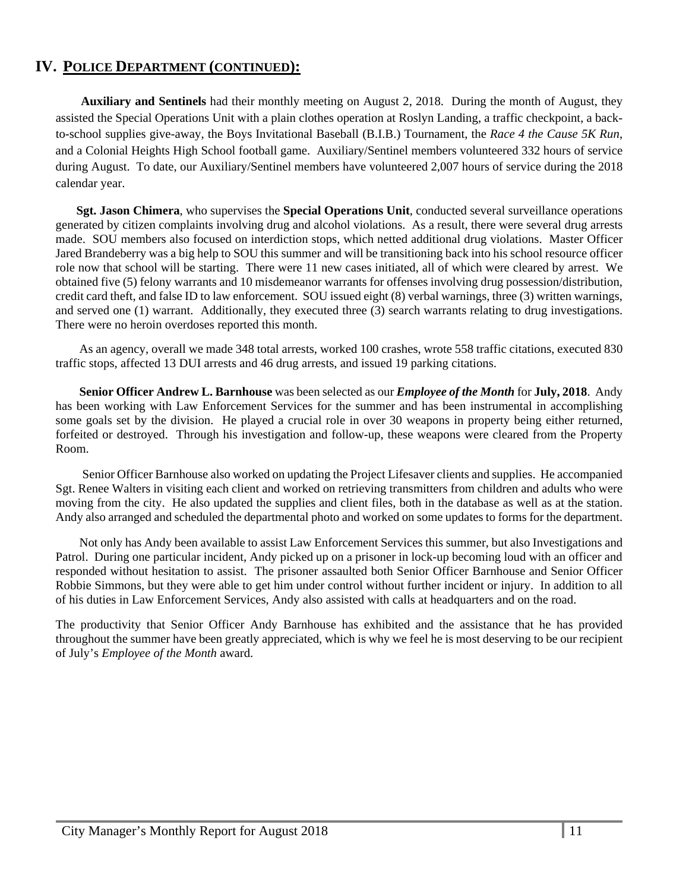**Auxiliary and Sentinels** had their monthly meeting on August 2, 2018. During the month of August, they assisted the Special Operations Unit with a plain clothes operation at Roslyn Landing, a traffic checkpoint, a backto-school supplies give-away, the Boys Invitational Baseball (B.I.B.) Tournament, the *Race 4 the Cause 5K Run*, and a Colonial Heights High School football game. Auxiliary/Sentinel members volunteered 332 hours of service during August. To date, our Auxiliary/Sentinel members have volunteered 2,007 hours of service during the 2018 calendar year.

 **Sgt. Jason Chimera**, who supervises the **Special Operations Unit**, conducted several surveillance operations generated by citizen complaints involving drug and alcohol violations. As a result, there were several drug arrests made. SOU members also focused on interdiction stops, which netted additional drug violations. Master Officer Jared Brandeberry was a big help to SOU this summer and will be transitioning back into his school resource officer role now that school will be starting. There were 11 new cases initiated, all of which were cleared by arrest. We obtained five (5) felony warrants and 10 misdemeanor warrants for offenses involving drug possession/distribution, credit card theft, and false ID to law enforcement. SOU issued eight (8) verbal warnings, three (3) written warnings, and served one (1) warrant. Additionally, they executed three (3) search warrants relating to drug investigations. There were no heroin overdoses reported this month.

As an agency, overall we made 348 total arrests, worked 100 crashes, wrote 558 traffic citations, executed 830 traffic stops, affected 13 DUI arrests and 46 drug arrests, and issued 19 parking citations.

**Senior Officer Andrew L. Barnhouse** was been selected as our *Employee of the Month* for **July, 2018**. Andy has been working with Law Enforcement Services for the summer and has been instrumental in accomplishing some goals set by the division. He played a crucial role in over 30 weapons in property being either returned, forfeited or destroyed. Through his investigation and follow-up, these weapons were cleared from the Property Room.

 Senior Officer Barnhouse also worked on updating the Project Lifesaver clients and supplies. He accompanied Sgt. Renee Walters in visiting each client and worked on retrieving transmitters from children and adults who were moving from the city. He also updated the supplies and client files, both in the database as well as at the station. Andy also arranged and scheduled the departmental photo and worked on some updates to forms for the department.

Not only has Andy been available to assist Law Enforcement Services this summer, but also Investigations and Patrol. During one particular incident, Andy picked up on a prisoner in lock-up becoming loud with an officer and responded without hesitation to assist. The prisoner assaulted both Senior Officer Barnhouse and Senior Officer Robbie Simmons, but they were able to get him under control without further incident or injury. In addition to all of his duties in Law Enforcement Services, Andy also assisted with calls at headquarters and on the road.

The productivity that Senior Officer Andy Barnhouse has exhibited and the assistance that he has provided throughout the summer have been greatly appreciated, which is why we feel he is most deserving to be our recipient of July's *Employee of the Month* award.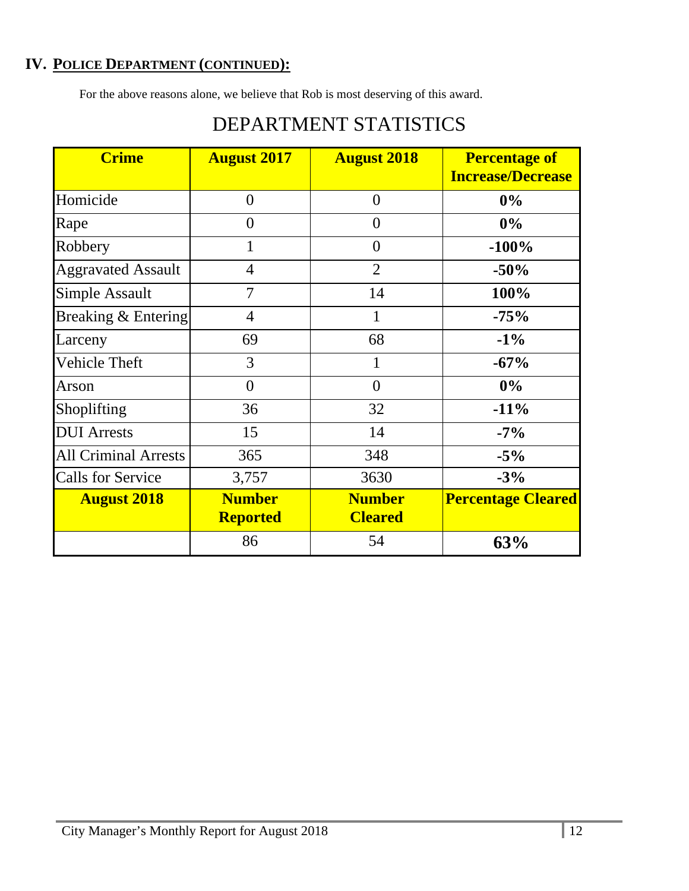For the above reasons alone, we believe that Rob is most deserving of this award.

| <b>Crime</b>                | <b>August 2017</b>               | <b>August 2018</b>              | <b>Percentage of</b><br><b>Increase/Decrease</b> |
|-----------------------------|----------------------------------|---------------------------------|--------------------------------------------------|
| Homicide                    | $\theta$                         | $\overline{0}$                  | $0\%$                                            |
| Rape                        | $\theta$                         | $\theta$                        | $0\%$                                            |
| Robbery                     | $\mathbf{1}$                     | $\theta$                        | $-100%$                                          |
| <b>Aggravated Assault</b>   | $\overline{4}$                   | $\overline{2}$                  | $-50%$                                           |
| <b>Simple Assault</b>       | 7                                | 14                              | 100%                                             |
| Breaking & Entering         | 4                                | 1                               | $-75%$                                           |
| Larceny                     | 69                               | 68                              | $-1\%$                                           |
| Vehicle Theft               | 3                                | 1                               | $-67%$                                           |
| Arson                       | $\overline{0}$                   | $\overline{0}$                  | 0%                                               |
| Shoplifting                 | 36                               | 32                              | $-11%$                                           |
| <b>DUI</b> Arrests          | 15                               | 14                              | $-7\%$                                           |
| <b>All Criminal Arrests</b> | 365                              | 348                             | $-5%$                                            |
| <b>Calls for Service</b>    | 3,757                            | 3630                            | $-3%$                                            |
| <b>August 2018</b>          | <b>Number</b><br><b>Reported</b> | <b>Number</b><br><b>Cleared</b> | <b>Percentage Cleared</b>                        |
|                             | 86                               | 54                              | 63%                                              |

# DEPARTMENT STATISTICS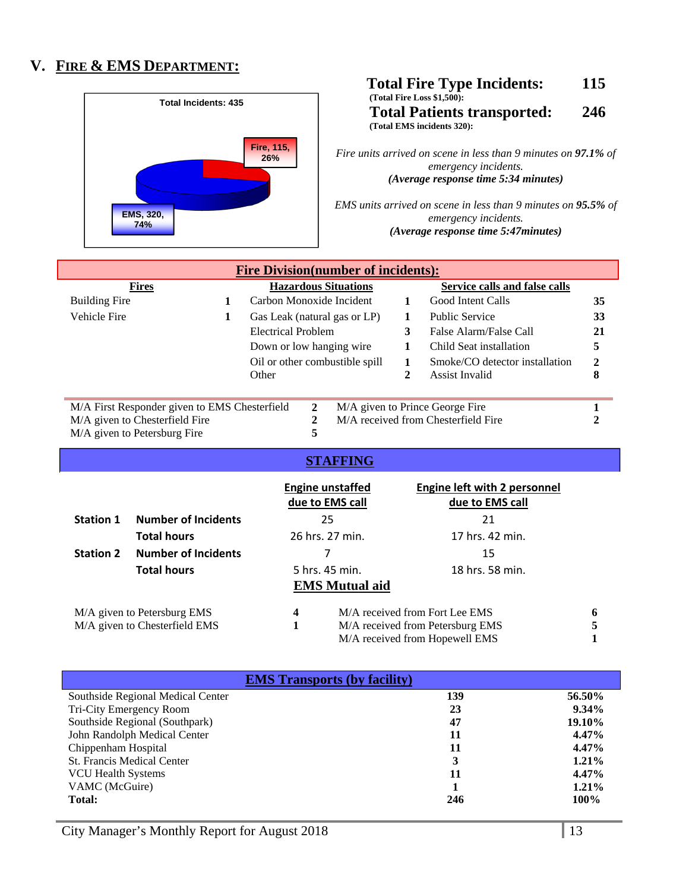### **V. FIRE & EMS DEPARTMENT:**



#### **Total Fire Type Incidents: 115 (Total Fire Loss \$1,500): Total Patients transported: 246 (Total EMS incidents 320):**

*Fire units arrived on scene in less than 9 minutes on 97.1% of emergency incidents. (Average response time 5:34 minutes)* 

*EMS units arrived on scene in less than 9 minutes on 95.5% of emergency incidents. (Average response time 5:47minutes)* 

| <b>Fire Division (number of incidents):</b>                                                      |   |                                |                              |    |                                     |    |
|--------------------------------------------------------------------------------------------------|---|--------------------------------|------------------------------|----|-------------------------------------|----|
| <b>Fires</b>                                                                                     |   | <b>Hazardous Situations</b>    |                              |    | Service calls and false calls       |    |
| <b>Building Fire</b>                                                                             |   |                                | Carbon Monoxide Incident     |    | Good Intent Calls                   | 35 |
| Vehicle Fire                                                                                     | 1 |                                | Gas Leak (natural gas or LP) |    | <b>Public Service</b>               | 33 |
|                                                                                                  |   | Electrical Problem             |                              | 3  | False Alarm/False Call              | 21 |
|                                                                                                  |   | Down or low hanging wire.      |                              | п. | Child Seat installation             | 5  |
|                                                                                                  |   | Oil or other combustible spill |                              |    | Smoke/CO detector installation      | 2  |
|                                                                                                  |   | Other                          |                              | 2  | Assist Invalid                      | 8  |
|                                                                                                  |   |                                |                              |    |                                     |    |
| $\mathbf{2}$<br>M/A First Responder given to EMS Chesterfield<br>M/A given to Prince George Fire |   |                                |                              |    |                                     |    |
| M/A given to Chesterfield Fire                                                                   |   |                                |                              |    | M/A received from Chesterfield Fire |    |
| M/A given to Petersburg Fire                                                                     |   | 5                              |                              |    |                                     |    |

#### **STAFFING**

|                               |                             |   | <b>Engine unstaffed</b><br>due to EMS call | Engine left with 2 personnel<br>due to EMS call |   |
|-------------------------------|-----------------------------|---|--------------------------------------------|-------------------------------------------------|---|
| <b>Station 1</b>              | <b>Number of Incidents</b>  |   | 25                                         | 21                                              |   |
|                               | <b>Total hours</b>          |   | 26 hrs. 27 min.                            | 17 hrs. 42 min.                                 |   |
| <b>Station 2</b>              | <b>Number of Incidents</b>  |   |                                            | 15                                              |   |
|                               | <b>Total hours</b>          |   | 5 hrs. 45 min.                             | 18 hrs. 58 min.                                 |   |
|                               |                             |   | <b>EMS</b> Mutual aid                      |                                                 |   |
|                               | M/A given to Petersburg EMS | 4 |                                            | M/A received from Fort Lee EMS                  | 6 |
| M/A given to Chesterfield EMS |                             |   | M/A received from Petersburg EMS           |                                                 | 5 |
|                               |                             |   |                                            | M/A received from Hopewell EMS                  |   |

| <b>EMS Transports (by facility)</b> |     |               |
|-------------------------------------|-----|---------------|
| Southside Regional Medical Center   | 139 | 56.50%        |
| Tri-City Emergency Room             | 23  | $9.34\%$      |
| Southside Regional (Southpark)      | 47  | <b>19.10%</b> |
| John Randolph Medical Center        | 11  | $4.47\%$      |
| Chippenham Hospital                 | 11  | 4.47%         |
| <b>St. Francis Medical Center</b>   | 3   | $1.21\%$      |
| <b>VCU Health Systems</b>           | 11  | 4.47%         |
| VAMC (McGuire)                      |     | $1.21\%$      |
| <b>Total:</b>                       | 246 | 100%          |

City Manager's Monthly Report for August 2018 13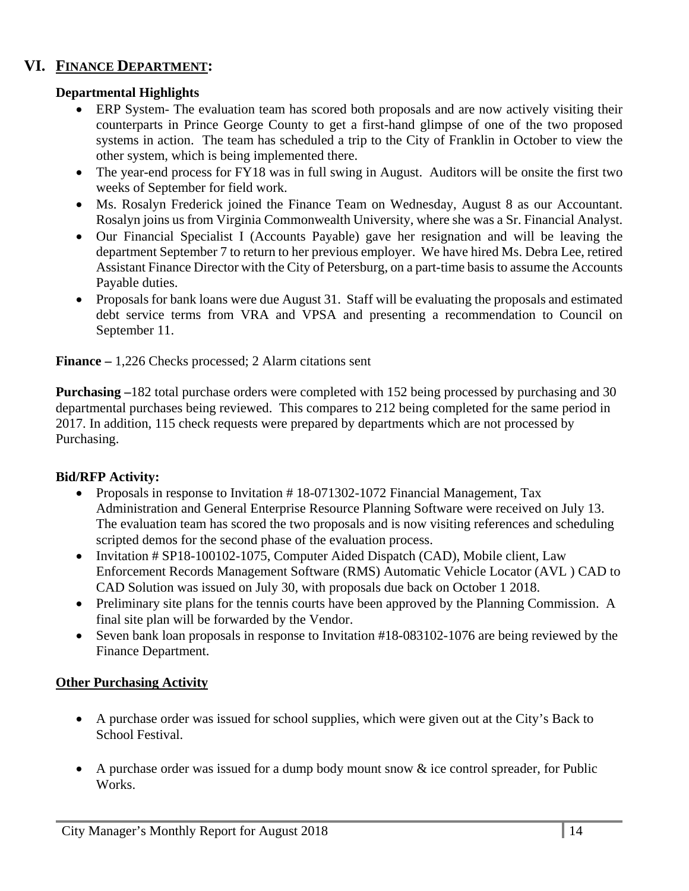### **VI. FINANCE DEPARTMENT:**

#### **Departmental Highlights**

- ERP System- The evaluation team has scored both proposals and are now actively visiting their counterparts in Prince George County to get a first-hand glimpse of one of the two proposed systems in action. The team has scheduled a trip to the City of Franklin in October to view the other system, which is being implemented there.
- The year-end process for FY18 was in full swing in August. Auditors will be onsite the first two weeks of September for field work.
- Ms. Rosalyn Frederick joined the Finance Team on Wednesday, August 8 as our Accountant. Rosalyn joins us from Virginia Commonwealth University, where she was a Sr. Financial Analyst.
- Our Financial Specialist I (Accounts Payable) gave her resignation and will be leaving the department September 7 to return to her previous employer. We have hired Ms. Debra Lee, retired Assistant Finance Director with the City of Petersburg, on a part-time basis to assume the Accounts Payable duties.
- Proposals for bank loans were due August 31. Staff will be evaluating the proposals and estimated debt service terms from VRA and VPSA and presenting a recommendation to Council on September 11.

**Finance –** 1,226 Checks processed; 2 Alarm citations sent

**Purchasing –**182 total purchase orders were completed with 152 being processed by purchasing and 30 departmental purchases being reviewed. This compares to 212 being completed for the same period in 2017. In addition, 115 check requests were prepared by departments which are not processed by Purchasing.

#### **Bid/RFP Activity:**

- Proposals in response to Invitation #18-071302-1072 Financial Management, Tax Administration and General Enterprise Resource Planning Software were received on July 13. The evaluation team has scored the two proposals and is now visiting references and scheduling scripted demos for the second phase of the evaluation process.
- Invitation # SP18-100102-1075, Computer Aided Dispatch (CAD), Mobile client, Law Enforcement Records Management Software (RMS) Automatic Vehicle Locator (AVL ) CAD to CAD Solution was issued on July 30, with proposals due back on October 1 2018.
- Preliminary site plans for the tennis courts have been approved by the Planning Commission. A final site plan will be forwarded by the Vendor.
- Seven bank loan proposals in response to Invitation #18-083102-1076 are being reviewed by the Finance Department.

#### **Other Purchasing Activity**

- A purchase order was issued for school supplies, which were given out at the City's Back to School Festival.
- A purchase order was issued for a dump body mount snow  $\&$  ice control spreader, for Public Works.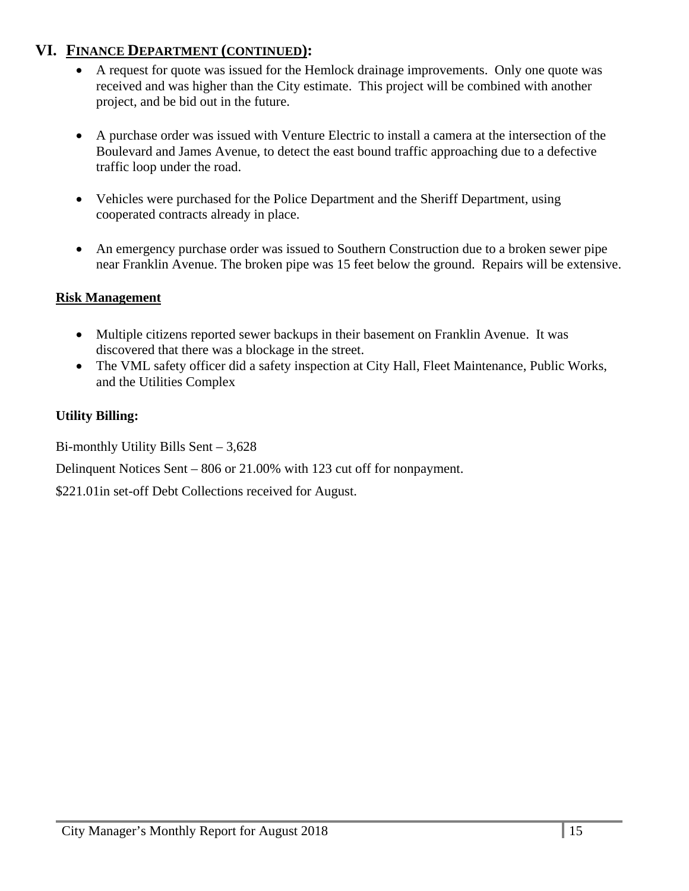### **VI. FINANCE DEPARTMENT (CONTINUED):**

- A request for quote was issued for the Hemlock drainage improvements. Only one quote was received and was higher than the City estimate. This project will be combined with another project, and be bid out in the future.
- A purchase order was issued with Venture Electric to install a camera at the intersection of the Boulevard and James Avenue, to detect the east bound traffic approaching due to a defective traffic loop under the road.
- Vehicles were purchased for the Police Department and the Sheriff Department, using cooperated contracts already in place.
- An emergency purchase order was issued to Southern Construction due to a broken sewer pipe near Franklin Avenue. The broken pipe was 15 feet below the ground. Repairs will be extensive.

#### **Risk Management**

- Multiple citizens reported sewer backups in their basement on Franklin Avenue. It was discovered that there was a blockage in the street.
- The VML safety officer did a safety inspection at City Hall, Fleet Maintenance, Public Works, and the Utilities Complex

### **Utility Billing:**

Bi-monthly Utility Bills Sent – 3,628

Delinquent Notices Sent – 806 or 21.00% with 123 cut off for nonpayment.

\$221.01in set-off Debt Collections received for August.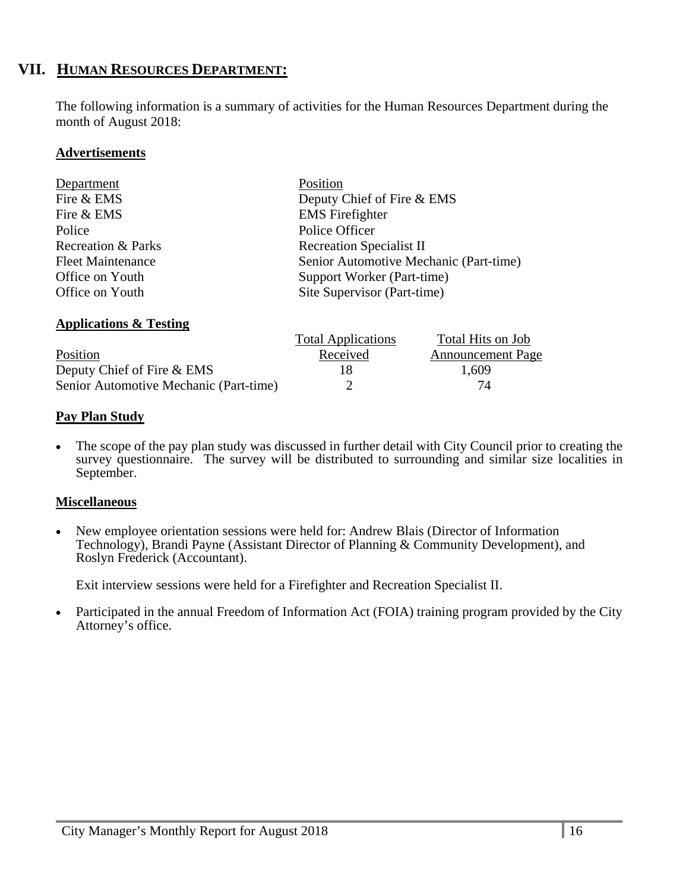### **VII. HUMAN RESOURCES DEPARTMENT:**

The following information is a summary of activities for the Human Resources Department during the month of August 2018:

#### **Advertisements**

| Department                    | Position                               |
|-------------------------------|----------------------------------------|
| Fire & EMS                    | Deputy Chief of Fire & EMS             |
| Fire & EMS                    | <b>EMS</b> Firefighter                 |
| Police                        | Police Officer                         |
| <b>Recreation &amp; Parks</b> | <b>Recreation Specialist II</b>        |
| <b>Fleet Maintenance</b>      | Senior Automotive Mechanic (Part-time) |
| Office on Youth               | Support Worker (Part-time)             |
| Office on Youth               | Site Supervisor (Part-time)            |
|                               |                                        |

### **Applications & Testing**

|                                        | <b>Total Applications</b> | Total Hits on Job        |
|----------------------------------------|---------------------------|--------------------------|
| Position                               | Received                  | <b>Announcement Page</b> |
| Deputy Chief of Fire & EMS             | 18                        | 1,609                    |
| Senior Automotive Mechanic (Part-time) |                           | 74                       |

#### **Pay Plan Study**

 The scope of the pay plan study was discussed in further detail with City Council prior to creating the survey questionnaire. The survey will be distributed to surrounding and similar size localities in September.

#### **Miscellaneous**

• New employee orientation sessions were held for: Andrew Blais (Director of Information Technology), Brandi Payne (Assistant Director of Planning & Community Development), and Roslyn Frederick (Accountant).

Exit interview sessions were held for a Firefighter and Recreation Specialist II.

 Participated in the annual Freedom of Information Act (FOIA) training program provided by the City Attorney's office.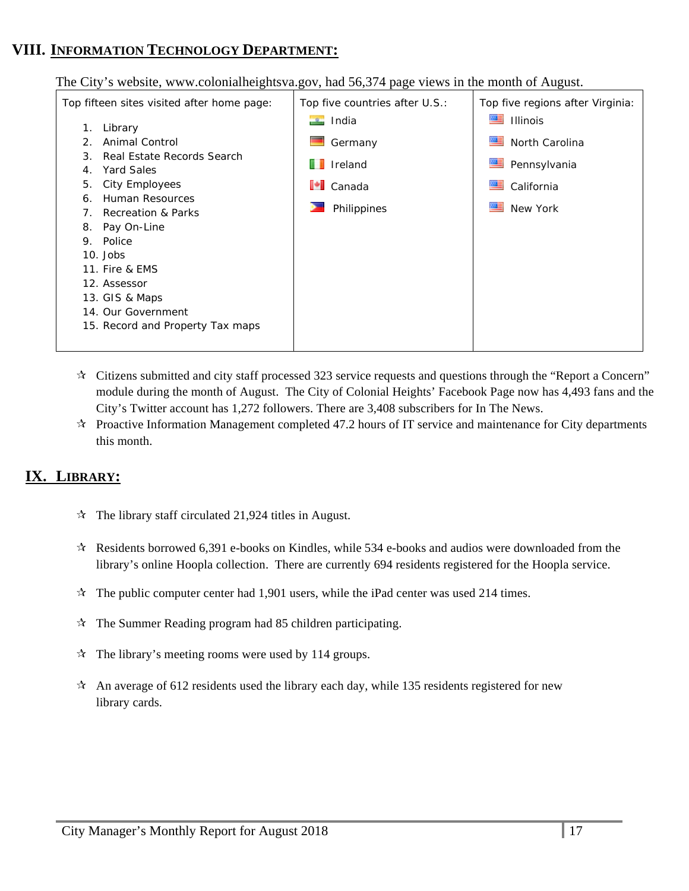### **VIII. INFORMATION TECHNOLOGY DEPARTMENT:**

The City's website, www.colonialheightsva.gov, had 56,374 page views in the month of August.



- $\star$  Citizens submitted and city staff processed 323 service requests and questions through the "Report a Concern" module during the month of August. The City of Colonial Heights' Facebook Page now has 4,493 fans and the City's Twitter account has 1,272 followers. There are 3,408 subscribers for In The News.
- $\star$  Proactive Information Management completed 47.2 hours of IT service and maintenance for City departments this month.

### **IX. LIBRARY:**

- $\hat{x}$  The library staff circulated 21,924 titles in August.
- $\star$  Residents borrowed 6,391 e-books on Kindles, while 534 e-books and audios were downloaded from the library's online Hoopla collection. There are currently 694 residents registered for the Hoopla service.
- $\star$  The public computer center had 1,901 users, while the iPad center was used 214 times.
- $\mathcal{R}$  The Summer Reading program had 85 children participating.
- $\mathcal{R}$  The library's meeting rooms were used by 114 groups.
- $\star$  An average of 612 residents used the library each day, while 135 residents registered for new library cards.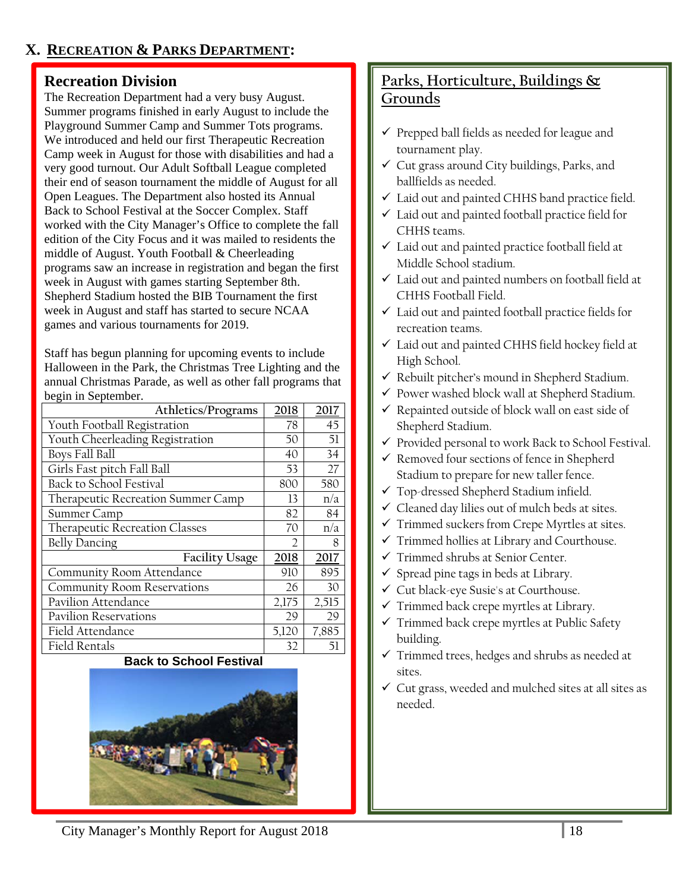### **Recreation Division**

The Recreation Department had a very busy August. Summer programs finished in early August to include the Playground Summer Camp and Summer Tots programs. We introduced and held our first Therapeutic Recreation Camp week in August for those with disabilities and had a very good turnout. Our Adult Softball League completed their end of season tournament the middle of August for all Open Leagues. The Department also hosted its Annual Back to School Festival at the Soccer Complex. Staff worked with the City Manager's Office to complete the fall edition of the City Focus and it was mailed to residents the middle of August. Youth Football & Cheerleading programs saw an increase in registration and began the first week in August with games starting September 8th. Shepherd Stadium hosted the BIB Tournament the first week in August and staff has started to secure NCAA games and various tournaments for 2019.

Staff has begun planning for upcoming events to include Halloween in the Park, the Christmas Tree Lighting and the annual Christmas Parade, as well as other fall programs that begin in September.

| Athletics/Programs                 | 2018          | 2017  |
|------------------------------------|---------------|-------|
| Youth Football Registration        | 78            | 45    |
| Youth Cheerleading Registration    | 50            | 51    |
| Boys Fall Ball                     | 40            | 34    |
| Girls Fast pitch Fall Ball         | 53            | 27    |
| <b>Back to School Festival</b>     | 800           | 580   |
| Therapeutic Recreation Summer Camp | 13            | n/a   |
| Summer Camp                        | 82            | 84    |
| Therapeutic Recreation Classes     | 70            | n/a   |
| <b>Belly Dancing</b>               | $\mathcal{I}$ | 8     |
| <b>Facility Usage</b>              | 2018          | 2017  |
| Community Room Attendance          | 910           | 895   |
| <b>Community Room Reservations</b> | 26            | 30    |
| Pavilion Attendance                | 2,175         | 2,515 |
| <b>Pavilion Reservations</b>       | 29            | 29    |
| Field Attendance                   | 5,120         | 7,885 |
| Field Rentals                      | 32            | 51    |

#### **Back to School Festival**



## **Parks, Horticulture, Buildings & Grounds**

- $\checkmark$  Prepped ball fields as needed for league and tournament play.
- $\checkmark$  Cut grass around City buildings, Parks, and ballfields as needed.
- Laid out and painted CHHS band practice field.
- Laid out and painted football practice field for CHHS teams.
- Laid out and painted practice football field at Middle School stadium.
- $\checkmark$  Laid out and painted numbers on football field at CHHS Football Field.
- Laid out and painted football practice fields for recreation teams.
- Laid out and painted CHHS field hockey field at High School.
- $\checkmark$  Rebuilt pitcher's mound in Shepherd Stadium.
- $\checkmark$  Power washed block wall at Shepherd Stadium.
- $\checkmark$  Repainted outside of block wall on east side of Shepherd Stadium.
- $\checkmark$  Provided personal to work Back to School Festival.
- $\checkmark$  Removed four sections of fence in Shepherd Stadium to prepare for new taller fence.
- Top-dressed Shepherd Stadium infield.
- $\checkmark$  Cleaned day lilies out of mulch beds at sites.
- $\checkmark$  Trimmed suckers from Crepe Myrtles at sites.
- $\checkmark$  Trimmed hollies at Library and Courthouse.
- Trimmed shrubs at Senior Center.
- $\checkmark$  Spread pine tags in beds at Library.
- Cut black-eye Susie's at Courthouse.
- $\checkmark$  Trimmed back crepe myrtles at Library.
- $\checkmark$  Trimmed back crepe myrtles at Public Safety building.
- $\checkmark$  Trimmed trees, hedges and shrubs as needed at sites.
- $\checkmark$  Cut grass, weeded and mulched sites at all sites as needed.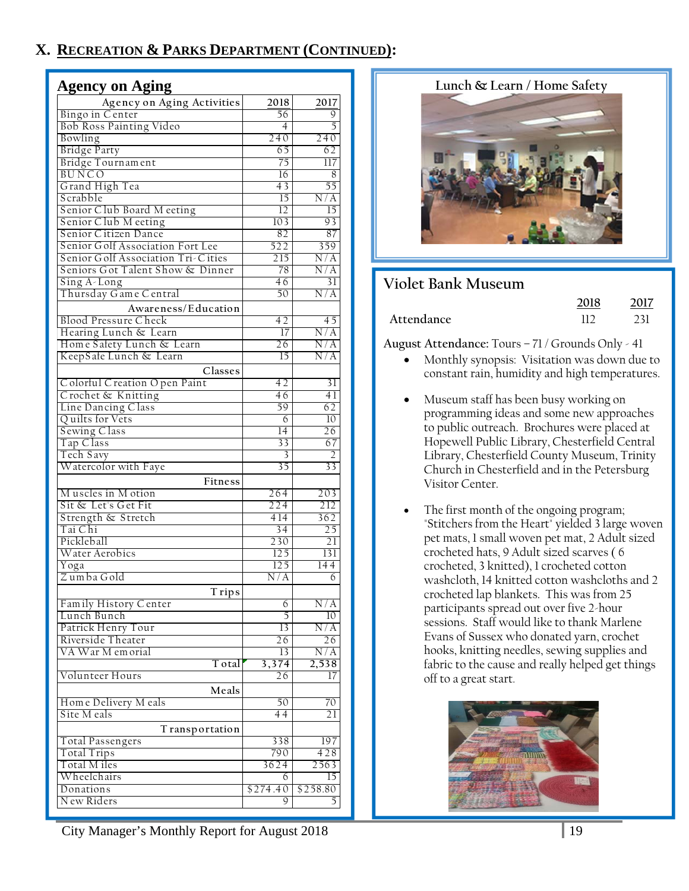### **X. RECREATION & PARKS DEPARTMENT (CONTINUED):**

| <b>Agency on Aging</b>             |                 |                  |
|------------------------------------|-----------------|------------------|
| Agency on Aging Activities         | 2018            | 2017             |
| Bingo in Center                    | 56              | 9                |
| Bob Ross Painting Video            | $\overline{4}$  | 5                |
| Bowling                            | 240             | 240              |
| <b>Bridge Party</b>                | 65              | 62               |
| Bridge Tournament                  | 75              | 117              |
| <b>BUNCO</b>                       | 16              | 8                |
| Grand High Tea                     | 43              | 55               |
| Scrabble                           | $\overline{15}$ | N/A              |
| Senior Club Board Meeting          | 12              | 15               |
| Senior Club Meeting                | 103             | 93               |
| Senior Citizen Dance               | 82              | 87               |
| Senior Golf Association Fort Lee   | 522             | 359              |
| Senior Golf Association Tri-Cities | 215             | N/A              |
| Seniors Got Talent Show & Dinner   | 78              | N/A              |
| Sing A-Long                        | 46              | 31               |
| Thursday Game Central              | 50              | N/A              |
| Awareness/Education                |                 |                  |
| <b>Blood Pressure Check</b>        | 42              | 45               |
| Hearing Lunch & Learn              | 17              | N/A              |
| Home Safety Lunch & Learn          | 26              | N/A              |
| KeepSafe Lunch & Learn             | $\overline{15}$ | N/A              |
| Classes                            |                 |                  |
| Colorful Creation Open Paint       | 42              | 31               |
| Crochet & Knitting                 | $\overline{46}$ | 41               |
| Line Dancing Class                 | 59              | 62               |
| Quilts for Vets                    | 6               | 10 <sup>°</sup>  |
| Sewing Class                       | 14              | 26               |
| Tap Class                          | 33              | 67               |
| Tech Savy                          | 3               | $\overline{2}$   |
| Watercolor with Faye               | $\overline{35}$ | 33               |
| Fitness                            |                 |                  |
| Muscles in Motion                  | 264             | 203              |
| Sit & Let's Get Fit                | 224             | 212              |
| Strength & Stretch                 | 414             | 362              |
| Tai Chi                            | 34              | $\overline{25}$  |
| Pickleball                         | 230             | 21               |
| Water Aerobics                     | 125             | 131              |
| Yoga                               | 125             | 144              |
| Zumba Gold                         | N/A             | 6                |
| <b>Trips</b>                       |                 |                  |
| Family History Center              | 6               | $\overline{N/A}$ |
| Lunch Bunch                        | 5               | 10 <sup>°</sup>  |
| Patrick Henry Tour                 | 13              | N/A              |
| Riverside Theater                  | 26              | 26               |
| VA War M emorial                   | 13              | N/A              |
| T otal                             | 3,374           | 2,538            |
| Volunteer Hours                    | 26              | 17               |
| Meals                              |                 |                  |
| Home Delivery M eals               | 50              | 70               |
| Site M eals                        | 44              | 21               |
| T ransportation                    |                 |                  |
| Total Passengers                   | 338             | 197              |
| Total Trips                        | 790             | 428              |
| Total M iles                       | 3624            | 2563             |
| Wheelchairs                        | 6               | 15               |
| Donations                          | \$274.40        | \$258.80         |
| New Riders                         | Q               | 5                |

**Lunch & Learn / Home Safety** 



### **Violet Bank Museum**

|            | 2018 | 2017 |
|------------|------|------|
| Attendance |      |      |

**August Attendance:** Tours – 71 / Grounds Only - 41

- Monthly synopsis: Visitation was down due to constant rain, humidity and high temperatures.
- Museum staff has been busy working on programming ideas and some new approaches to public outreach. Brochures were placed at Hopewell Public Library, Chesterfield Central Library, Chesterfield County Museum, Trinity Church in Chesterfield and in the Petersburg Visitor Center.
- The first month of the ongoing program; "Stitchers from the Heart" yielded 3 large woven pet mats, 1 small woven pet mat, 2 Adult sized crocheted hats, 9 Adult sized scarves ( 6 crocheted, 3 knitted), 1 crocheted cotton washcloth, 14 knitted cotton washcloths and 2 crocheted lap blankets. This was from 25 participants spread out over five 2-hour sessions. Staff would like to thank Marlene Evans of Sussex who donated yarn, crochet hooks, knitting needles, sewing supplies and fabric to the cause and really helped get things off to a great start.



City Manager's Monthly Report for August 2018 19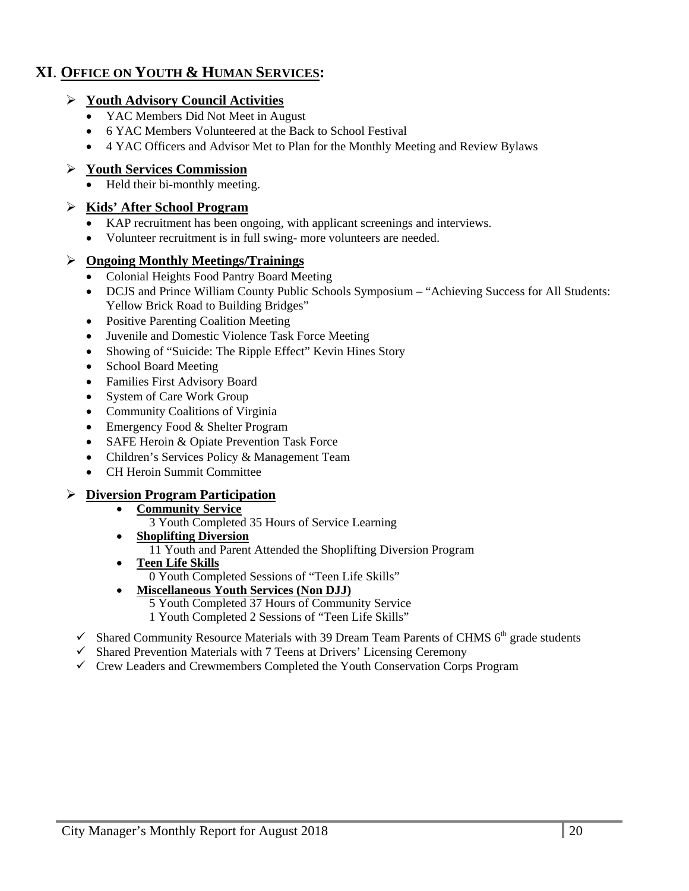### **XI**. **OFFICE ON YOUTH & HUMAN SERVICES:**

#### **Youth Advisory Council Activities**

- YAC Members Did Not Meet in August
- 6 YAC Members Volunteered at the Back to School Festival
- 4 YAC Officers and Advisor Met to Plan for the Monthly Meeting and Review Bylaws

#### **Youth Services Commission**

• Held their bi-monthly meeting.

#### **Kids' After School Program**

- KAP recruitment has been ongoing, with applicant screenings and interviews.
- Volunteer recruitment is in full swing- more volunteers are needed.

#### **Ongoing Monthly Meetings/Trainings**

- Colonial Heights Food Pantry Board Meeting
- DCJS and Prince William County Public Schools Symposium "Achieving Success for All Students: Yellow Brick Road to Building Bridges"
- Positive Parenting Coalition Meeting
- Juvenile and Domestic Violence Task Force Meeting
- Showing of "Suicide: The Ripple Effect" Kevin Hines Story
- School Board Meeting
- Families First Advisory Board
- System of Care Work Group
- Community Coalitions of Virginia
- Emergency Food & Shelter Program
- SAFE Heroin & Opiate Prevention Task Force
- Children's Services Policy & Management Team
- CH Heroin Summit Committee

#### **Diversion Program Participation**

- **Community Service** 
	- 3 Youth Completed 35 Hours of Service Learning
- **Shoplifting Diversion**  11 Youth and Parent Attended the Shoplifting Diversion Program
- **Teen Life Skills**  0 Youth Completed Sessions of "Teen Life Skills"

#### **Miscellaneous Youth Services (Non DJJ)**

5 Youth Completed 37 Hours of Community Service

- 1 Youth Completed 2 Sessions of "Teen Life Skills"
- $\checkmark$  Shared Community Resource Materials with 39 Dream Team Parents of CHMS 6<sup>th</sup> grade students
- $\checkmark$  Shared Prevention Materials with 7 Teens at Drivers' Licensing Ceremony
- $\checkmark$  Crew Leaders and Crewmembers Completed the Youth Conservation Corps Program